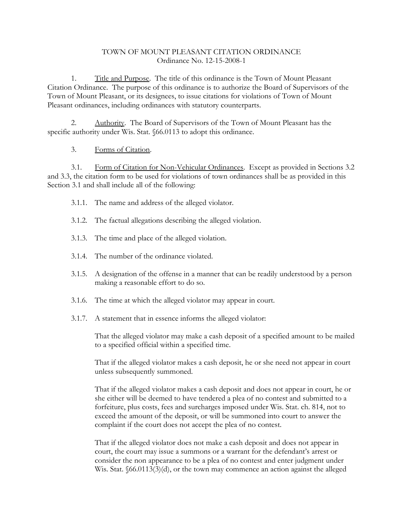## TOWN OF MOUNT PLEASANT CITATION ORDINANCE Ordinance No. 12-15-2008-1

1. Title and Purpose. The title of this ordinance is the Town of Mount Pleasant Citation Ordinance. The purpose of this ordinance is to authorize the Board of Supervisors of the Town of Mount Pleasant, or its designees, to issue citations for violations of Town of Mount Pleasant ordinances, including ordinances with statutory counterparts.

Authority. The Board of Supervisors of the Town of Mount Pleasant has the specific authority under Wis. Stat. §66.0113 to adopt this ordinance.

## 3. Forms of Citation.

3.1. Form of Citation for Non-Vehicular Ordinances. Except as provided in Sections 3.2 and 3.3, the citation form to be used for violations of town ordinances shall be as provided in this Section 3.1 and shall include all of the following:

- 3.1.1. The name and address of the alleged violator.
- 3.1.2. The factual allegations describing the alleged violation.
- 3.1.3. The time and place of the alleged violation.
- 3.1.4. The number of the ordinance violated.
- 3.1.5. A designation of the offense in a manner that can be readily understood by a person making a reasonable effort to do so.
- 3.1.6. The time at which the alleged violator may appear in court.
- 3.1.7. A statement that in essence informs the alleged violator:

That the alleged violator may make a cash deposit of a specified amount to be mailed to a specified official within a specified time.

That if the alleged violator makes a cash deposit, he or she need not appear in court unless subsequently summoned.

That if the alleged violator makes a cash deposit and does not appear in court, he or she either will be deemed to have tendered a plea of no contest and submitted to a forfeiture, plus costs, fees and surcharges imposed under Wis. Stat. ch. 814, not to exceed the amount of the deposit, or will be summoned into court to answer the complaint if the court does not accept the plea of no contest.

That if the alleged violator does not make a cash deposit and does not appear in court, the court may issue a summons or a warrant for the defendant's arrest or consider the non appearance to be a plea of no contest and enter judgment under Wis. Stat.  $66.0113(3)(d)$ , or the town may commence an action against the alleged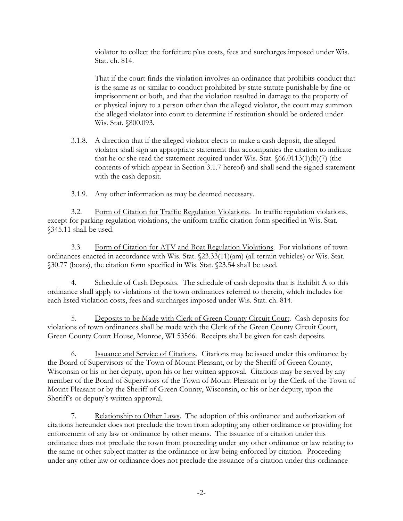violator to collect the forfeiture plus costs, fees and surcharges imposed under Wis. Stat. ch. 814.

That if the court finds the violation involves an ordinance that prohibits conduct that is the same as or similar to conduct prohibited by state statute punishable by fine or imprisonment or both, and that the violation resulted in damage to the property of or physical injury to a person other than the alleged violator, the court may summon the alleged violator into court to determine if restitution should be ordered under Wis. Stat. §800.093.

3.1.8. A direction that if the alleged violator elects to make a cash deposit, the alleged violator shall sign an appropriate statement that accompanies the citation to indicate that he or she read the statement required under Wis. Stat.  $\delta$ 66.0113(1)(b)(7) (the contents of which appear in Section 3.1.7 hereof) and shall send the signed statement with the cash deposit.

3.1.9. Any other information as may be deemed necessary.

3.2. Form of Citation for Traffic Regulation Violations. In traffic regulation violations, except for parking regulation violations, the uniform traffic citation form specified in Wis. Stat. §345.11 shall be used.

3.3. Form of Citation for ATV and Boat Regulation Violations. For violations of town ordinances enacted in accordance with Wis. Stat. §23.33(11)(am) (all terrain vehicles) or Wis. Stat. §30.77 (boats), the citation form specified in Wis. Stat. §23.54 shall be used.

4. Schedule of Cash Deposits. The schedule of cash deposits that is Exhibit A to this ordinance shall apply to violations of the town ordinances referred to therein, which includes for each listed violation costs, fees and surcharges imposed under Wis. Stat. ch. 814.

5. Deposits to be Made with Clerk of Green County Circuit Court. Cash deposits for violations of town ordinances shall be made with the Clerk of the Green County Circuit Court, Green County Court House, Monroe, WI 53566. Receipts shall be given for cash deposits.

6. Issuance and Service of Citations. Citations may be issued under this ordinance by the Board of Supervisors of the Town of Mount Pleasant, or by the Sheriff of Green County, Wisconsin or his or her deputy, upon his or her written approval. Citations may be served by any member of the Board of Supervisors of the Town of Mount Pleasant or by the Clerk of the Town of Mount Pleasant or by the Sheriff of Green County, Wisconsin, or his or her deputy, upon the Sheriff's or deputy's written approval.

7. Relationship to Other Laws. The adoption of this ordinance and authorization of citations hereunder does not preclude the town from adopting any other ordinance or providing for enforcement of any law or ordinance by other means. The issuance of a citation under this ordinance does not preclude the town from proceeding under any other ordinance or law relating to the same or other subject matter as the ordinance or law being enforced by citation. Proceeding under any other law or ordinance does not preclude the issuance of a citation under this ordinance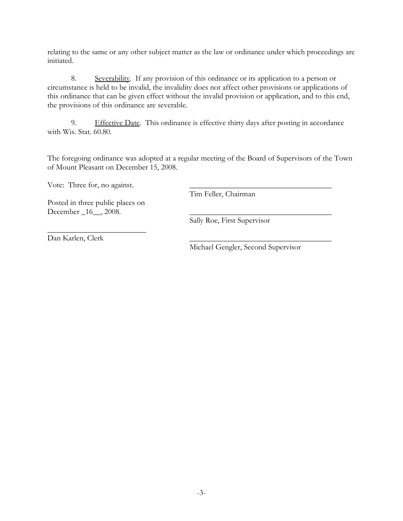relating to the same or any other subject matter as the law or ordinance under which proceedings are initiated.

8. Severability. If any provision of this ordinance or its application to a person or circumstance is held to be invalid, the invalidity does not affect other provisions or applications of this ordinance that can be given effect without the invalid provision or application, and to this end, the provisions of this ordinance are severable.

9. Effective Date. This ordinance is effective thirty days after posting in accordance with Wis. Stat. 60.80.

The foregoing ordinance was adopted at a regular meeting of the Board of Supervisors of the Town of Mount Pleasant on December 15, 2008.

Vote: Three for, no against.

Tim Feller, Chairman

Posted in three public places on December  $_16$ ,  $_2008$ .

\_\_\_\_\_\_\_\_\_\_\_\_\_\_\_\_\_\_\_\_\_\_\_\_\_

Sally Roe, First Supervisor

Dan Karlen, Clerk

Michael Gengler, Second Supervisor